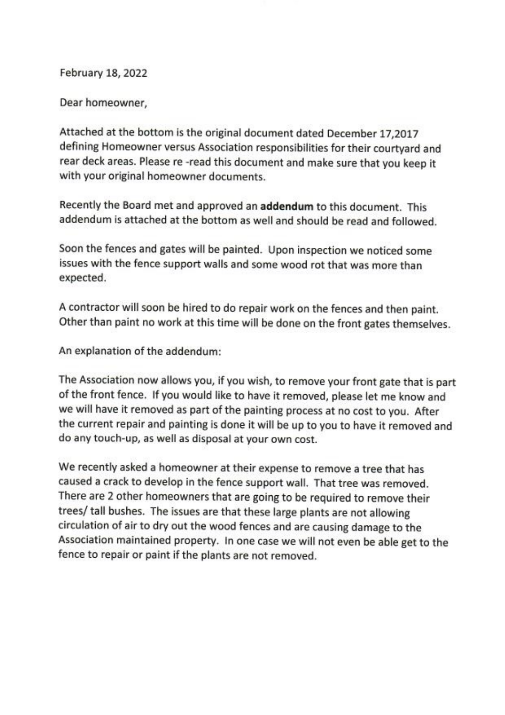February 18, 2022

Dear homeowner,

Attached at the bottom is the original document dated December 17,2017 defining Homeowner versus Association responsibilities for their courtyard and rear deck areas. Please re-read this document and make sure that you keep it with your original homeowner documents.

Recently the Board met and approved an addendum to this document. This addendum is attached at the bottom as well and should be read and followed.

Soon the fences and gates will be painted. Upon inspection we noticed some issues with the fence support walls and some wood rot that was more than expected.

A contractor will soon be hired to do repair work on the fences and then paint. Other than paint no work at this time will be done on the front gates themselves.

An explanation of the addendum:

The Association now allows you, if you wish, to remove your front gate that is part of the front fence. If you would like to have it removed, please let me know and we will have it removed as part of the painting process at no cost to you. After the current repair and painting is done it will be up to you to have it removed and do any touch-up, as well as disposal at your own cost.

We recently asked a homeowner at their expense to remove a tree that has caused a crack to develop in the fence support wall. That tree was removed. There are 2 other homeowners that are going to be required to remove their trees/ tall bushes. The issues are that these large plants are not allowing circulation of air to dry out the wood fences and are causing damage to the Association maintained property. In one case we will not even be able get to the fence to repair or paint if the plants are not removed.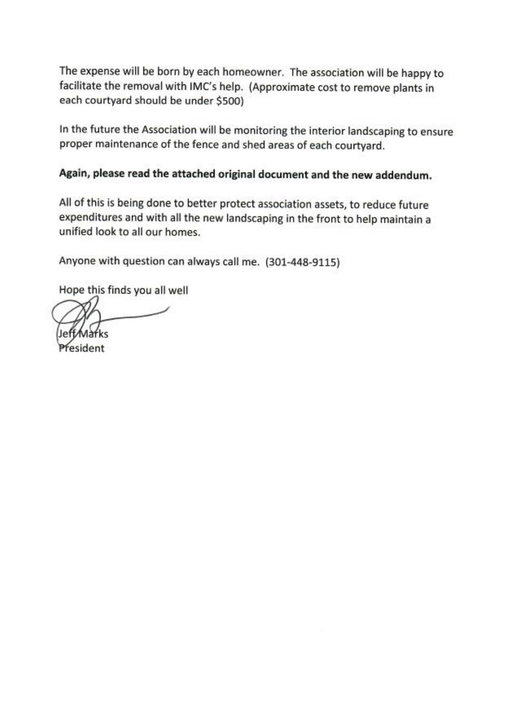The expense will be born by each homeowner. The association will be happy to facilitate the removal with IMC's help. (Approximate cost to remove plants in each courtyard should be under \$500)

In the future the Association will be monitoring the interior landscaping to ensure proper maintenance of the fence and shed areas of each courtyard.

## Again, please read the attached original document and the new addendum.

All of this is being done to better protect association assets, to reduce future expenditures and with all the new landscaping in the front to help maintain a unified look to all our homes.

Anyone with question can always call me. (301-448-9115)

Hope this finds you all well

esident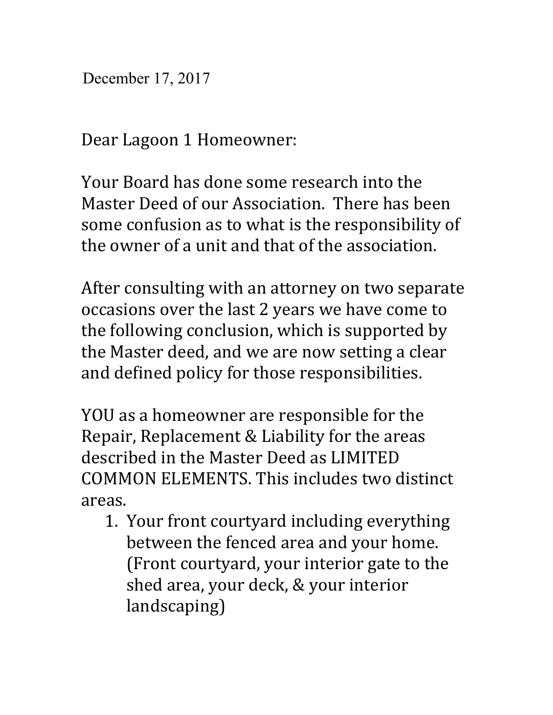December 17, 2017

Dear Lagoon 1 Homeowner:

Your Board has done some research into the Master Deed of our Association. There has been some confusion as to what is the responsibility of the owner of a unit and that of the association.

After consulting with an attorney on two separate occasions over the last 2 years we have come to the following conclusion, which is supported by the Master deed, and we are now setting a clear and defined policy for those responsibilities.

YOU as a homeowner are responsible for the Repair, Replacement & Liability for the areas described in the Master Deed as LIMITED COMMON ELEMENTS. This includes two distinct areas.

1. Your front courtyard including everything between the fenced area and your home. (Front courtyard, your interior gate to the shed area, your deck, & your interior landscaping)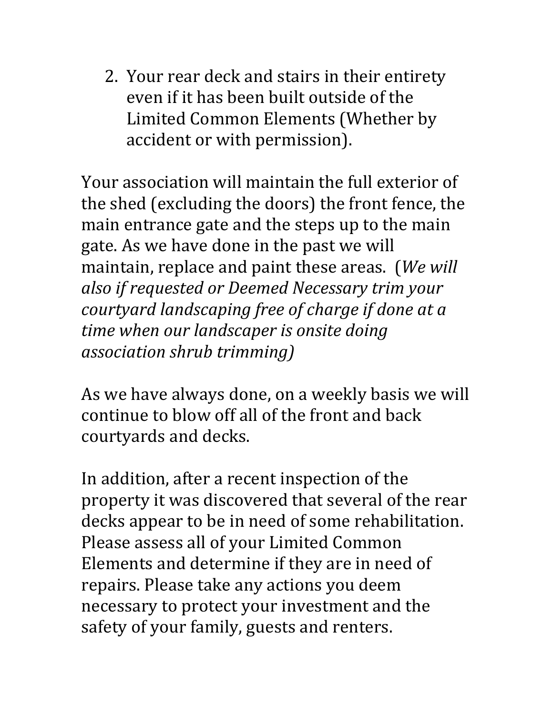2. Your rear deck and stairs in their entirety even if it has been built outside of the Limited Common Elements (Whether by accident or with permission).

Your association will maintain the full exterior of the shed (excluding the doors) the front fence, the main entrance gate and the steps up to the main gate. As we have done in the past we will maintain, replace and paint these areas. (*We will also if requested or Deemed Necessary trim your courtyard landscaping free of charge if done at a time when our landscaper is onsite doing association shrub trimming)*

As we have always done, on a weekly basis we will continue to blow off all of the front and back courtyards and decks.

In addition, after a recent inspection of the property it was discovered that several of the rear decks appear to be in need of some rehabilitation. Please assess all of your Limited Common Elements and determine if they are in need of repairs. Please take any actions you deem necessary to protect your investment and the safety of your family, guests and renters.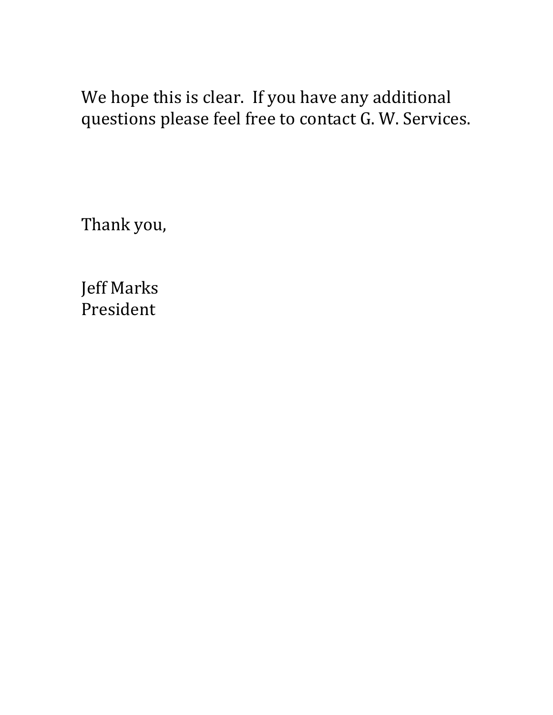We hope this is clear. If you have any additional questions please feel free to contact G. W. Services.

Thank you,

Jeff Marks President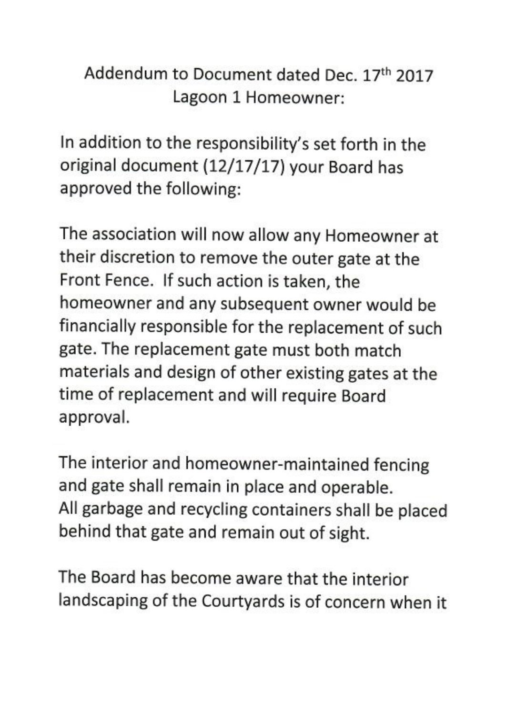## Addendum to Document dated Dec. 17th 2017 Lagoon 1 Homeowner:

In addition to the responsibility's set forth in the original document (12/17/17) your Board has approved the following:

The association will now allow any Homeowner at their discretion to remove the outer gate at the Front Fence. If such action is taken, the homeowner and any subsequent owner would be financially responsible for the replacement of such gate. The replacement gate must both match materials and design of other existing gates at the time of replacement and will require Board approval.

The interior and homeowner-maintained fencing and gate shall remain in place and operable. All garbage and recycling containers shall be placed behind that gate and remain out of sight.

The Board has become aware that the interior landscaping of the Courtyards is of concern when it